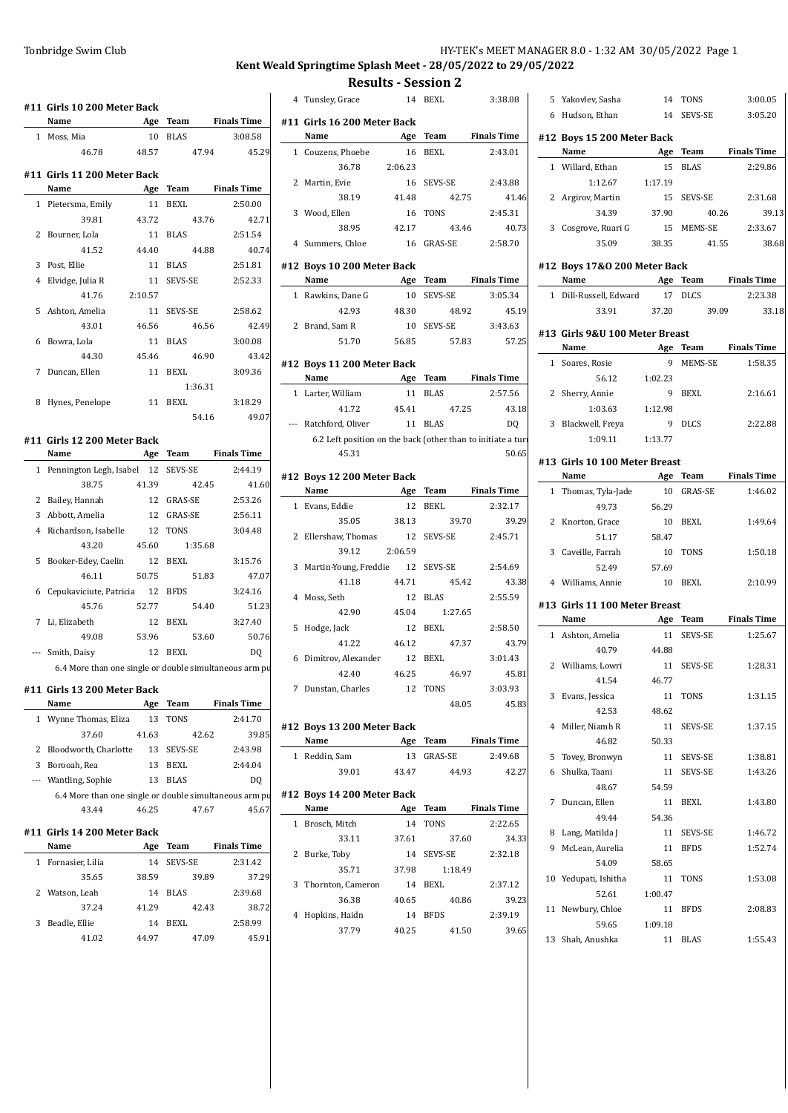## Tonbridge Swim Club **HY-TEK's MEET MANAGER 8.0 - 1:32 AM 30/05/2022** Page 1

# **Kent Weald Springtime Splash Meet - 28/05/2022 to 29/05/2022**

**Results - Session 2**

4 Tunsley, Grace 314 BEXL

|   | #11  Girls 10 200 Meter Back                           |         |             |                    |   | 4 Tunsley, Grace                |
|---|--------------------------------------------------------|---------|-------------|--------------------|---|---------------------------------|
|   | Name                                                   | Age     | <b>Team</b> | <b>Finals Time</b> |   | #11 Girls 16 200 Meter          |
|   | 1 Moss, Mia                                            | 10      | <b>BLAS</b> | 3:08.58            |   | Name                            |
|   | 46.78                                                  | 48.57   | 47.94       | 45.29              |   | 1 Couzens, Phoebe               |
|   | #11  Girls 11 200 Meter Back                           |         |             |                    |   | 36.78<br>2:                     |
|   | Name                                                   | Age     | <b>Team</b> | <b>Finals Time</b> | 2 | Martin, Evie                    |
|   | 1 Pietersma, Emily                                     | 11      | <b>BEXL</b> | 2:50.00            |   | 38.19                           |
|   | 39.81                                                  | 43.72   | 43.76       | 42.71              | 3 | Wood, Ellen                     |
| 2 | Bourner, Lola                                          | 11      | <b>BLAS</b> | 2:51.54            |   | 38.95                           |
|   | 41.52                                                  | 44.40   | 44.88       | 40.74              |   | 4 Summers, Chloe                |
| 3 | Post, Ellie                                            | 11      | <b>BLAS</b> | 2:51.81            |   | #12 Boys 10 200 Meter 1         |
| 4 | Elvidge, Julia R                                       | 11      | SEVS-SE     | 2:52.33            |   | Name                            |
|   | 41.76                                                  | 2:10.57 |             |                    |   | 1 Rawkins, Dane G               |
| 5 | Ashton, Amelia                                         | 11      | SEVS-SE     | 2:58.62            |   | 42.93                           |
|   | 43.01                                                  | 46.56   | 46.56       | 42.49              |   | 2 Brand, Sam R                  |
| 6 | Bowra, Lola                                            | 11      | <b>BLAS</b> | 3:00.08            |   | 51.70                           |
|   | 44.30                                                  | 45.46   | 46.90       | 43.42              |   |                                 |
| 7 | Duncan, Ellen                                          | 11      | BEXL        | 3:09.36            |   | #12 Boys 11 200 Meter 1<br>Name |
|   |                                                        |         | 1:36.31     |                    |   |                                 |
| 8 | Hynes, Penelope                                        | 11      | <b>BEXL</b> | 3:18.29            |   | 1 Larter, William<br>41.72      |
|   |                                                        |         | 54.16       | 49.07              |   | --- Ratchford, Oliver           |
|   | #11 Girls 12 200 Meter Back                            |         |             |                    |   | 6.2 Left position on th         |
|   | Name                                                   |         | Age Team    | <b>Finals Time</b> |   | 45.31                           |
|   | 1 Pennington Legh, Isabel                              | 12      | SEVS-SE     | 2:44.19            |   |                                 |
|   | 38.75                                                  | 41.39   | 42.45       | 41.60              |   | #12 Boys 12 200 Meter 1         |
| 2 | Bailey, Hannah                                         | 12      | GRAS-SE     | 2:53.26            |   | Name                            |
| 3 | Abbott, Amelia                                         | 12      | GRAS-SE     | 2:56.11            |   | 1 Evans, Eddie                  |
| 4 | Richardson, Isabelle                                   | 12      | <b>TONS</b> | 3:04.48            |   | 35.05                           |
|   | 43.20                                                  | 45.60   | 1:35.68     |                    |   | 2 Ellershaw, Thomas             |
| 5 | Booker-Edey, Caelin                                    | 12      | <b>BEXL</b> | 3:15.76            |   | 2:<br>39.12                     |
|   | 46.11                                                  | 50.75   | 51.83       | 47.07              |   | 3 Martin-Young, Freddie         |
| 6 | Cepukaviciute, Patricia                                | 12      | <b>BFDS</b> | 3:24.16            |   | 41.18                           |
|   | 45.76                                                  | 52.77   | 54.40       | 51.23              |   | 4 Moss, Seth                    |
| 7 | Li, Elizabeth                                          | 12      | <b>BEXL</b> | 3:27.40            |   | 42.90                           |
|   | 49.08                                                  | 53.96   | 53.60       | 50.76              | 5 | Hodge, Jack                     |
|   | Smith, Daisy                                           | 12      | BEXL        | DQ                 |   | 41.22                           |
|   | 6.4 More than one single or double simultaneous arm pu |         |             |                    |   | 6 Dimitrov, Alexander           |
|   |                                                        |         |             |                    |   | 42.40                           |
|   | #11 Girls 13 200 Meter Back                            |         |             |                    | 7 | Dunstan, Charles                |
|   | Name                                                   |         | Age Team    | <b>Finals Time</b> |   |                                 |
|   | 1 Wynne Thomas, Eliza                                  | 13      | TONS        | 2:41.70            |   | #12 Boys 13 200 Meter 1         |
|   | 37.60                                                  | 41.63   | 42.62       | 39.85              |   | Name                            |
|   | 2 Bloodworth, Charlotte                                |         | 13 SEVS-SE  | 2:43.98            |   | 1 Reddin, Sam                   |
|   | 3 Borooah, Rea                                         | 13      | BEXL        | 2:44.04            |   | 39.01                           |
|   | --- Wantling, Sophie                                   | 13      | <b>BLAS</b> | DQ                 |   |                                 |
|   | 6.4 More than one single or double simultaneous arm pu |         |             |                    |   | #12 Boys 14 200 Meter 1<br>Name |
|   | 43.44                                                  | 46.25   | 47.67       | 45.67              |   |                                 |
|   | #11  Girls 14 200 Meter Back                           |         |             |                    |   | 1 Brosch, Mitch                 |
|   | Name                                                   | Age     | Team        | <b>Finals Time</b> |   | 33.11                           |
|   | 1 Fornasier, Lilia                                     | 14      | SEVS-SE     | 2:31.42            |   | 2 Burke, Toby                   |
|   | 35.65                                                  | 38.59   | 39.89       | 37.29              |   | 35.71                           |
|   | 2 Watson, Leah                                         | 14      | <b>BLAS</b> | 2:39.68            |   | 3 Thornton, Cameron             |
|   | 37.24                                                  | 41.29   | 42.43       | 38.72              |   | 36.38                           |
|   | 3 Beadle, Ellie                                        | 14      | BEXL        | 2:58.99            |   | 4 Hopkins, Haidn                |
|   | 41.02                                                  | 44.97   | 47.09       | 45.91              |   | 37.79                           |
|   |                                                        |         |             |                    |   |                                 |
|   |                                                        |         |             |                    |   |                                 |

|              | #11 Girls 16 200 Meter Back                                  |         |                |                           |
|--------------|--------------------------------------------------------------|---------|----------------|---------------------------|
|              | Name                                                         | Age     | Team           | <b>Finals Time</b>        |
| 1            | Couzens, Phoebe                                              | 16      | <b>BEXL</b>    | 2:43.01                   |
|              | 36.78                                                        | 2:06.23 |                |                           |
| 2            | Martin, Evie                                                 | 16      | SEVS-SE        | 2:43.88                   |
|              | 38.19                                                        | 41.48   |                | 42.75<br>41.46            |
| 3            | Wood, Ellen                                                  | 16      | <b>TONS</b>    | 2:45.31                   |
|              | 38.95                                                        | 42.17   |                | 40.73<br>43.46            |
| 4            | Summers, Chloe                                               | 16      | <b>GRAS-SE</b> | 2:58.70                   |
|              |                                                              |         |                |                           |
|              | #12 Boys 10 200 Meter Back<br>Name                           |         | Age Team       | <b>Finals Time</b>        |
| 1            | Rawkins, Dane G                                              | 10      | SEVS-SE        | 3:05.34                   |
|              |                                                              |         |                |                           |
|              | 42.93                                                        | 48.30   |                | 48.92<br>45.19            |
|              | 2 Brand, Sam R                                               | 10      | SEVS-SE        | 3:43.63                   |
|              | 51.70                                                        | 56.85   |                | 57.25<br>57.83            |
|              | #12 Boys 11 200 Meter Back                                   |         |                |                           |
|              | Name                                                         |         |                | Age Team Finals Time      |
|              | 1 Larter, William                                            |         | 11 BLAS        | 2:57.56                   |
|              | 41.72                                                        | 45.41   |                | 47.25<br>43.18            |
|              | Ratchford, Oliver                                            |         | 11 BLAS        | DQ                        |
|              | 6.2 Left position on the back (other than to initiate a turi |         |                |                           |
|              | 45.31                                                        |         |                | 50.65                     |
|              | #12 Boys 12 200 Meter Back                                   |         |                |                           |
|              | Name                                                         |         | Age Team       | <b>Finals Time</b>        |
| $\mathbf{1}$ | Evans, Eddie                                                 |         | 12 BEKL        | 2:32.17                   |
|              | 35.05                                                        | 38.13   |                | 39.70<br>39.29            |
| 2            | Ellershaw, Thomas                                            | 12      | SEVS-SE        | 2:45.71                   |
|              | 39.12                                                        | 2:06.59 |                |                           |
| 3            | Martin-Young, Freddie                                        | 12      | SEVS-SE        | 2:54.69                   |
|              | 41.18                                                        | 44.71   |                | 43.38<br>45.42            |
| 4            | Moss, Seth                                                   | 12      | <b>BLAS</b>    | 2:55.59                   |
|              | 42.90                                                        | 45.04   | 1:27.65        |                           |
| 5            | Hodge, Jack                                                  | 12      | <b>BEXL</b>    | 2:58.50                   |
|              | 41.22                                                        | 46.12   |                | 47.37<br>43.79            |
| 6            | Dimitrov, Alexander                                          |         | 12 BEXL        | 3:01.43                   |
|              | 42.40                                                        | 46.25   |                | 46.97<br>45.81            |
| 7            | Dunstan, Charles                                             | 12      | <b>TONS</b>    | 3:03.93                   |
|              |                                                              |         |                | 45.83<br>48.05            |
|              |                                                              |         |                |                           |
|              | #12 Boys 13 200 Meter Back                                   |         |                |                           |
|              | Name                                                         | Age     | Team           | <b>Finals Time</b>        |
| $\mathbf{1}$ | Reddin, Sam                                                  | 13      | GRAS-SE        | 2:49.68                   |
|              | 39.01                                                        | 43.47   |                | 44.93<br>42.27            |
|              | #12 Boys 14 200 Meter Back                                   |         |                |                           |
|              | Name                                                         |         | Age Team       | <b>Finals Time</b>        |
|              | 1 Brosch, Mitch                                              | 14      | TONS           | 2:22.65                   |
|              | 33.11                                                        | 37.61   |                | 37.60<br>34.33            |
| 2            | Burke, Toby                                                  | 14      | SEVS-SE        | 2:32.18                   |
|              |                                                              |         |                |                           |
|              | 35.71                                                        | 37.98   | 1:18.49        |                           |
| 3            |                                                              | 14      | BEXL           | 2:37.12                   |
|              | Thornton, Cameron<br>36.38                                   |         |                |                           |
| 4            | Hopkins, Haidn                                               | 40.65   | 14 BFDS        | 40.86<br>39.23<br>2:39.19 |

| 3:38.08          |    | 5 Yakovlev, Sasha                    | 14      | TONS           | 3:00.05            |
|------------------|----|--------------------------------------|---------|----------------|--------------------|
|                  |    | 6 Hudson, Ethan                      | 14      | SEVS-SE        | 3:05.20            |
| als Time         |    | #12 Boys 15 200 Meter Back           |         |                |                    |
| 2:43.01          |    | Name                                 |         | Age Team       | <b>Finals Time</b> |
|                  |    | 1 Willard, Ethan                     | 15      | <b>BLAS</b>    | 2:29.86            |
| 2:43.88          |    | 1:12.67                              | 1:17.19 |                |                    |
| 41.46            |    | 2 Argirov, Martin                    | 15      | SEVS-SE        | 2:31.68            |
| 2:45.31          |    | 34.39                                | 37.90   | 40.26          | 39.13              |
| 40.73            |    | 3 Cosgrove, Ruari G                  | 15      | MEMS-SE        | 2:33.67            |
| 2:58.70          |    | 35.09                                | 38.35   | 41.55          | 38.68              |
|                  |    |                                      |         |                |                    |
| als Time         |    | #12 Boys 17&0 200 Meter Back<br>Name |         | Age Team       | <b>Finals Time</b> |
| 3:05.34          |    | 1 Dill-Russell, Edward               | 17      | <b>DLCS</b>    | 2:23.38            |
| 45.19            |    | 33.91                                | 37.20   | 39.09          | 33.18              |
| 3:43.63          |    |                                      |         |                |                    |
| 57.25            |    | #13 Girls 9&U 100 Meter Breast       |         |                |                    |
|                  |    | Name                                 |         | Age Team       | <b>Finals Time</b> |
|                  |    | 1 Soares, Rosie                      | 9       | MEMS-SE        | 1:58.35            |
| als Time         |    | 56.12                                | 1:02.23 |                |                    |
| 2:57.56          |    | 2 Sherry, Annie                      | 9       | <b>BEXL</b>    | 2:16.61            |
| 43.18            |    | 1:03.63                              | 1:12.98 |                |                    |
| DQ               |    | 3 Blackwell, Freya                   | 9       | <b>DLCS</b>    | 2:22.88            |
| itiate a turi    |    | 1:09.11                              | 1:13.77 |                |                    |
| 50.65            |    | #13 Girls 10 100 Meter Breast        |         |                |                    |
|                  |    | Name                                 |         | Age Team       | <b>Finals Time</b> |
| als Time         |    | 1 Thomas, Tyla-Jade                  | 10      | <b>GRAS-SE</b> | 1:46.02            |
| 2:32.17          |    | 49.73                                | 56.29   |                |                    |
| 39.29            |    | 2 Knorton, Grace                     | 10      | <b>BEXL</b>    | 1:49.64            |
| 2:45.71          |    | 51.17                                | 58.47   |                |                    |
|                  |    | 3 Caveille, Farrah                   | 10      | <b>TONS</b>    | 1:50.18            |
| 2:54.69          |    | 52.49                                | 57.69   |                |                    |
| 43.38            |    | 4 Williams, Annie                    | 10      | <b>BEXL</b>    | 2:10.99            |
| 2:55.59          |    | #13 Girls 11 100 Meter Breast        |         |                |                    |
|                  |    | Name                                 |         | Age Team       | <b>Finals Time</b> |
| 2:58.50          |    | 1 Ashton, Amelia                     | 11      | SEVS-SE        | 1:25.67            |
| 43.79            |    | 40.79                                | 44.88   |                |                    |
| 3:01.43          |    | 2 Williams, Lowri                    | 11      | SEVS-SE        | 1:28.31            |
| 45.81            |    | 41.54                                | 46.77   |                |                    |
| 3:03.93          | 3  | Evans, Jessica                       | 11      | TONS           | 1:31.15            |
| 45.83            |    | 42.53                                | 48.62   |                |                    |
|                  | 4  | Miller, Niamh R                      | 11      | SEVS-SE        | 1:37.15            |
| als Time         |    | 46.82                                | 50.33   |                |                    |
| 2:49.68          | 5  | Tovey, Bronwyn                       | 11      | SEVS-SE        | 1:38.81            |
| 42.27            | 6  | Shulka, Taani                        | 11      | SEVS-SE        | 1:43.26            |
|                  |    | 48.67                                | 54.59   |                |                    |
| als Time         | 7  | Duncan, Ellen                        | 11      | BEXL           | 1:43.80            |
|                  |    | 49.44                                | 54.36   |                |                    |
| 2:22.65          |    | 8 Lang, Matilda J                    | 11      | SEVS-SE        | 1:46.72            |
| 34.33            | 9  | McLean, Aurelia                      | 11      | <b>BFDS</b>    | 1:52.74            |
| 2:32.18          |    | 54.09                                | 58.65   |                |                    |
|                  | 10 | Yedupati, Ishitha                    | 11      | TONS           | 1:53.08            |
| 2:37.12          |    | 52.61                                | 1:00.47 |                |                    |
| 39.23            | 11 | Newbury, Chloe                       | 11      | <b>BFDS</b>    | 2:08.83            |
| 2:39.19<br>39.65 |    | 59.65                                | 1:09.18 |                |                    |
|                  | 13 | Shah, Anushka                        | 11      | <b>BLAS</b>    | 1:55.43            |
|                  |    |                                      |         |                |                    |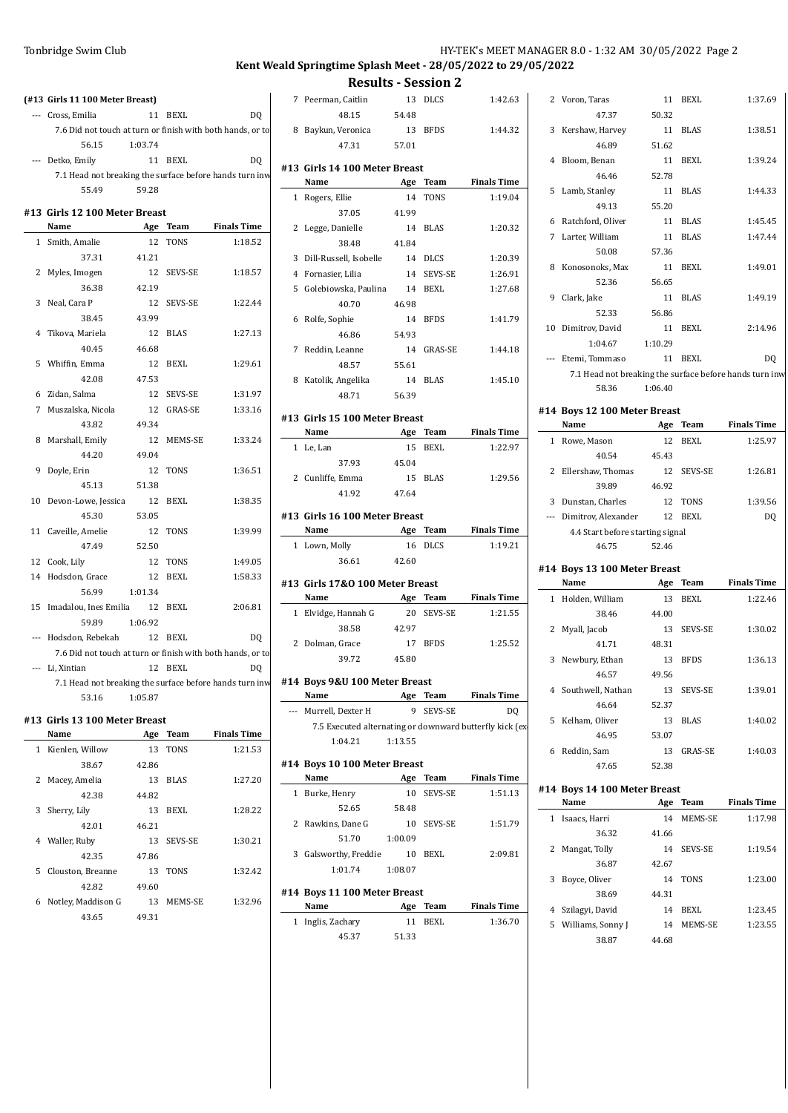## Tonbridge Swim Club **HY-TEK's MEET MANAGER 8.0 - 1:32 AM 30/05/2022** Page 2

## **Kent Weald Springtime Splash Meet - 28/05/2022 to 29/05/2022**

**Results - Session 2**

|   |                                                            |         |             |                    | Results -                 |      |
|---|------------------------------------------------------------|---------|-------------|--------------------|---------------------------|------|
|   | (#13 Girls 11 100 Meter Breast)                            |         |             |                    | 7 Peerman, Caitlin        |      |
|   | --- Cross, Emilia                                          |         | 11 BEXL     | D <sub>0</sub>     | 48.15                     | 54   |
|   | 7.6 Did not touch at turn or finish with both hands, or to |         |             |                    | 8 Baykun, Veronica        |      |
|   | 56.15                                                      | 1:03.74 |             |                    | 47.31                     | 57   |
|   | --- Detko, Emily                                           |         | 11 BEXL     | D <sub>0</sub>     | #13 Girls 14 100 Meter Br |      |
|   | 7.1 Head not breaking the surface before hands turn inw    |         |             |                    | Name                      | f    |
|   | 55.49                                                      | 59.28   |             |                    | 1 Rogers, Ellie           |      |
|   | #13 Girls 12 100 Meter Breast                              |         |             |                    | 37.05                     | 41   |
|   | Name                                                       |         | Age Team    | <b>Finals Time</b> | 2 Legge, Danielle         |      |
|   | 1 Smith, Amalie                                            | 12      | <b>TONS</b> | 1:18.52            | 38.48                     | 41   |
|   | 37.31                                                      | 41.21   |             |                    | 3 Dill-Russell, Isobelle  |      |
|   | 2 Myles, Imogen                                            | 12      | SEVS-SE     | 1:18.57            | 4 Fornasier, Lilia        |      |
|   | 36.38                                                      | 42.19   |             |                    | 5 Golebiowska, Paulina    |      |
|   | 3 Neal, Cara P                                             | 12      | SEVS-SE     | 1:22.44            | 40.70                     | 46   |
|   | 38.45                                                      | 43.99   |             |                    | 6 Rolfe, Sophie           |      |
|   | 4 Tikova, Mariela                                          | 12      | <b>BLAS</b> | 1:27.13            | 46.86                     | 54   |
|   | 40.45                                                      | 46.68   |             |                    | 7 Reddin, Leanne          |      |
|   | 5 Whiffin, Emma                                            | 12      | <b>BEXL</b> | 1:29.61            | 48.57                     | 55   |
|   | 42.08                                                      | 47.53   |             |                    | 8 Katolik, Angelika       |      |
|   | 6 Zidan, Salma                                             | 12      | SEVS-SE     | 1:31.97            | 48.71                     | 56   |
|   | 7 Muszalska, Nicola                                        | 12      | GRAS-SE     | 1:33.16            |                           |      |
|   | 43.82                                                      | 49.34   |             |                    | #13 Girls 15 100 Meter Br |      |
|   | 8 Marshall, Emily                                          | 12      | MEMS-SE     | 1:33.24            | Name                      | ŀ    |
|   | 44.20                                                      | 49.04   |             |                    | 1 Le, Lan                 |      |
|   | 9 Doyle, Erin                                              | 12      | TONS        | 1:36.51            | 37.93                     | 45   |
|   | 45.13                                                      | 51.38   |             |                    | 2 Cunliffe, Emma          |      |
|   | 10 Devon-Lowe, Jessica                                     | 12      | <b>BEXL</b> | 1:38.35            | 41.92                     | 47   |
|   | 45.30                                                      | 53.05   |             |                    | #13 Girls 16 100 Meter Br |      |
|   | 11 Caveille, Amelie                                        | 12      | <b>TONS</b> | 1:39.99            | Name                      | f    |
|   | 47.49                                                      | 52.50   |             |                    | 1 Lown, Molly             |      |
|   | 12 Cook, Lily                                              | 12      | TONS        | 1:49.05            | 36.61                     | 42   |
|   | 14 Hodsdon, Grace                                          | 12      | BEXL        | 1:58.33            |                           |      |
|   | 56.99                                                      | 1:01.34 |             |                    | #13 Girls 17&0 100 Meter  |      |
|   | 15 Imadalou, Ines Emilia                                   | 12      | <b>BEXL</b> | 2:06.81            | Name                      | P    |
|   | 59.89                                                      | 1:06.92 |             |                    | 1 Elvidge, Hannah G       |      |
|   | --- Hodsdon, Rebekah                                       |         | 12 BEXL     | DQ                 | 38.58                     | 42   |
|   | 7.6 Did not touch at turn or finish with both hands, or to |         |             |                    | 2 Dolman, Grace<br>39.72  | 45   |
|   | --- Li, Xintian                                            |         | 12 BEXL     | DQ                 |                           |      |
|   | 7.1 Head not breaking the surface before hands turn inw    |         |             |                    | #14 Boys 9&U 100 Meter I  |      |
|   | 53.16                                                      | 1:05.87 |             |                    | Name                      | f    |
|   | #13  Girls 13 100 Meter Breast                             |         |             |                    | --- Murrell, Dexter H     |      |
|   | Name                                                       |         | Age Team    | <b>Finals Time</b> | 7.5 Executed alternating  |      |
|   | 1 Kienlen, Willow                                          | 13      | TONS        | 1:21.53            | 1:04.21                   | 1:13 |
|   | 38.67                                                      | 42.86   |             |                    | #14 Boys 10 100 Meter Br  |      |
|   | 2 Macey, Amelia                                            | 13      | <b>BLAS</b> | 1:27.20            | Name                      | f    |
|   | 42.38                                                      | 44.82   |             |                    | 1 Burke, Henry            |      |
| 3 | Sherry, Lily                                               | 13      | BEXL        | 1:28.22            | 52.65                     | 58   |
|   | 42.01                                                      | 46.21   |             |                    | 2 Rawkins, Dane G         |      |
|   | 4 Waller, Ruby                                             | 13      | SEVS-SE     | 1:30.21            | 51.70                     | 1:00 |
|   | 42.35                                                      | 47.86   |             |                    | 3 Galsworthy, Freddie     |      |
|   | 5 Clouston, Breanne                                        | 13      | TONS        | 1:32.42            | 1:01.74                   | 1:08 |
|   | 42.82                                                      | 49.60   |             |                    |                           |      |
|   |                                                            |         |             |                    |                           |      |

6 Notley, Maddison G 13 MEMS-SE 1:32.96

43.65 49.31

| 7 | Peerman, Caitlin                                        | 13        | <b>DLCS</b>    | 1:42.63            |   | 2 Voron, Taras                                 |
|---|---------------------------------------------------------|-----------|----------------|--------------------|---|------------------------------------------------|
|   | 48.15                                                   | 54.48     |                |                    |   | 47.37                                          |
| 8 | Baykun, Veronica                                        | 13        | <b>BFDS</b>    | 1:44.32            | 3 | Kershaw, Harvey                                |
|   | 47.31                                                   | 57.01     |                |                    |   | 46.89                                          |
|   |                                                         |           |                |                    |   | 4 Bloom, Benan                                 |
|   | #13 Girls 14 100 Meter Breast                           |           |                |                    |   | 46.46                                          |
|   | Name                                                    | Age       | <b>Team</b>    | <b>Finals Time</b> |   | 5 Lamb, Stanley                                |
|   | 1 Rogers, Ellie                                         | 14        | <b>TONS</b>    | 1:19.04            |   | 49.13                                          |
|   | 37.05                                                   | 41.99     |                |                    |   | 6 Ratchford, Oliver                            |
|   | 2 Legge, Danielle                                       | 14        | <b>BLAS</b>    | 1:20.32            |   | 7 Larter, William                              |
|   | 38.48                                                   | 41.84     |                |                    |   | 50.08                                          |
| 3 | Dill-Russell, Isobelle                                  | 14        | <b>DLCS</b>    | 1:20.39            |   | 8 Konosonoks, Max                              |
|   | 4 Fornasier, Lilia                                      | 14        | SEVS-SE        | 1:26.91            |   | 52.36                                          |
|   | 5 Golebiowska, Paulina                                  | 14        | <b>BEXL</b>    | 1:27.68            |   | 9 Clark, Jake                                  |
|   | 40.70                                                   | 46.98     |                |                    |   | 52.33                                          |
| 6 | Rolfe, Sophie                                           | 14        | <b>BFDS</b>    | 1:41.79            |   | 10 Dimitrov, David                             |
|   | 46.86                                                   | 54.93     |                |                    |   | 1:04.67                                        |
| 7 | Reddin, Leanne                                          | 14        | <b>GRAS-SE</b> | 1:44.18            |   |                                                |
|   | 48.57                                                   | 55.61     |                |                    |   | --- Etemi, Tommaso                             |
| 8 | Katolik, Angelika                                       | 14        | <b>BLAS</b>    | 1:45.10            |   | 7.1 Head not breaki                            |
|   | 48.71                                                   | 56.39     |                |                    |   | 58.36                                          |
|   |                                                         |           |                |                    |   | #14 Boys 12 100 Meter                          |
|   | #13 Girls 15 100 Meter Breast                           |           |                |                    |   | Name                                           |
|   | Name                                                    | Age       | Team           | <b>Finals Time</b> |   | 1 Rowe, Mason                                  |
|   | 1 Le, Lan                                               | 15        | <b>BEXL</b>    | 1:22.97            |   | 40.54                                          |
|   | 37.93                                                   | 45.04     |                |                    |   | 2 Ellershaw, Thomas                            |
|   | 2 Cunliffe, Emma                                        | 15        | <b>BLAS</b>    | 1:29.56            |   | 39.89                                          |
|   | 41.92                                                   | 47.64     |                |                    |   |                                                |
|   |                                                         |           |                |                    |   |                                                |
|   |                                                         |           |                |                    |   | 3 Dunstan, Charles                             |
|   | #13 Girls 16 100 Meter Breast<br>Name                   |           | Team           | <b>Finals Time</b> |   | --- Dimitrov, Alexander                        |
|   |                                                         | Age<br>16 | <b>DLCS</b>    | 1:19.21            |   |                                                |
|   | 1 Lown, Molly                                           |           |                |                    |   | 46.75                                          |
|   | 36.61                                                   | 42.60     |                |                    |   | 4.4 Start before star<br>#14 Boys 13 100 Meter |
|   | #13 Girls 17&0 100 Meter Breast                         |           |                |                    |   | Name                                           |
|   | Name                                                    | Age       | Team           | <b>Finals Time</b> |   | 1 Holden, William                              |
|   | 1 Elvidge, Hannah G                                     | 20        | SEVS-SE        | 1:21.55            |   | 38.46                                          |
|   | 38.58                                                   | 42.97     |                |                    |   | 2 Myall, Jacob                                 |
|   | 2 Dolman, Grace                                         | 17        | <b>BFDS</b>    | 1:25.52            |   | 41.71                                          |
|   | 39.72                                                   | 45.80     |                |                    |   | 3 Newbury, Ethan                               |
|   |                                                         |           |                |                    |   | 46.57                                          |
|   | #14 Boys 9&U 100 Meter Breast                           |           |                |                    |   | 4 Southwell, Nathan                            |
|   | Name                                                    | Age       | Team           | <b>Finals Time</b> |   | 46.64                                          |
|   | --- Murrell, Dexter H                                   | 9         | SEVS-SE        | DQ                 |   | 5 Kelham, Oliver                               |
|   | 7.5 Executed alternating or downward butterfly kick (ex |           |                |                    |   | 46.95                                          |
|   | 1:04.21                                                 | 1:13.55   |                |                    |   | 6 Reddin, Sam                                  |
|   | #14 Boys 10 100 Meter Breast                            |           |                |                    |   | 47.65                                          |
|   | Name                                                    | Age       | Team           | <b>Finals Time</b> |   |                                                |
|   | 1 Burke, Henry                                          | 10        | SEVS-SE        | 1:51.13            |   |                                                |
|   | 52.65                                                   | 58.48     |                |                    |   | Name                                           |
|   | 2 Rawkins, Dane G                                       | 10        | SEVS-SE        | 1:51.79            |   | 1 Isaacs, Harri                                |
|   | 51.70                                                   | 1:00.09   |                |                    |   | #14 Boys 14 100 Meter<br>36.32                 |
| 3 | Galsworthy, Freddie                                     | 10        | <b>BEXL</b>    | 2:09.81            | 2 | Mangat, Tolly                                  |
|   | 1:01.74                                                 | 1:08.07   |                |                    |   | 36.87                                          |
|   |                                                         |           |                |                    | 3 | Boyce, Oliver                                  |
|   | #14 Boys 11 100 Meter Breast<br>Name                    |           | Age Team       | <b>Finals Time</b> |   | 38.69                                          |

|   | 2 Voron, Taras                                          | 11          | <b>BEXL</b> | 1:37.69            |
|---|---------------------------------------------------------|-------------|-------------|--------------------|
|   | 47.37                                                   | 50.32       |             |                    |
| 3 | Kershaw, Harvey                                         | 11          | <b>BLAS</b> | 1:38.51            |
|   | 46.89                                                   | 51.62       |             |                    |
| 4 | Bloom, Benan                                            | 11          | <b>BEXL</b> | 1:39.24            |
|   | 46.46                                                   | 52.78       |             |                    |
| 5 | Lamb, Stanley                                           | 11          | <b>BLAS</b> | 1:44.33            |
|   | 49.13                                                   | 55.20       |             |                    |
|   | 6 Ratchford, Oliver                                     | 11          | <b>BLAS</b> | 1:45.45            |
| 7 | Larter, William                                         | 11          | <b>BLAS</b> | 1:47.44            |
|   | 50.08                                                   | 57.36       |             |                    |
| 8 | Konosonoks, Max                                         | 11          | <b>BEXL</b> | 1:49.01            |
|   | 52.36                                                   | 56.65       |             |                    |
| 9 | Clark, Jake                                             | 11          | <b>BLAS</b> | 1:49.19            |
|   | 52.33                                                   | 56.86       |             |                    |
|   | 10 Dimitrov, David                                      | 11          | <b>BEXL</b> | 2:14.96            |
|   | 1:04.67                                                 | 1:10.29     |             |                    |
|   | --- Etemi, Tommaso                                      | 11          | <b>BEXL</b> | DQ                 |
|   | 7.1 Head not breaking the surface before hands turn inw |             |             |                    |
|   | 58.36                                                   | 1:06.40     |             |                    |
|   | #14 Boys 12 100 Meter Breast                            |             |             |                    |
|   |                                                         |             |             |                    |
|   | Name                                                    | Age         | Team        | <b>Finals Time</b> |
|   | 1 Rowe, Mason                                           | 12          | <b>BEXL</b> | 1:25.97            |
|   | 40.54                                                   | 45.43       |             |                    |
|   | 2 Ellershaw, Thomas                                     | 12          | SEVS-SE     | 1:26.81            |
|   | 39.89                                                   | 46.92       |             |                    |
|   | 3 Dunstan, Charles                                      | 12          | TONS        | 1:39.56            |
|   | --- Dimitrov, Alexander                                 | 12          | <b>BEXL</b> | DQ                 |
|   | 4.4 Start before starting signal                        |             |             |                    |
|   | 46.75                                                   | 52.46       |             |                    |
|   |                                                         |             |             |                    |
|   | #14 Boys 13 100 Meter Breast                            |             |             |                    |
|   | Name                                                    | Age         | Team        | <b>Finals Time</b> |
|   | 1 Holden, William                                       | 13          | <b>BEXL</b> | 1:22.46            |
|   | 38.46                                                   | 44.00       |             |                    |
| 2 | Myall, Jacob                                            | 13          | SEVS-SE     | 1:30.02            |
|   | 41.71                                                   | 48.31       |             |                    |
| 3 | Newbury, Ethan                                          | 13          | <b>BFDS</b> | 1:36.13            |
|   | 46.57                                                   | 49.56       |             |                    |
|   | 4 Southwell, Nathan                                     | 13          | SEVS-SE     | 1:39.01            |
| 5 | 46.64<br>Kelham, Oliver                                 | 52.37<br>13 | <b>BLAS</b> | 1:40.02            |

|       | 6 | Reddin, Sam                  | 13    | <b>GRAS-SE</b> | 1:40.03            |
|-------|---|------------------------------|-------|----------------|--------------------|
|       |   | 47.65                        | 52.38 |                |                    |
| 'ime  |   |                              |       |                |                    |
| 1.13  |   | #14 Boys 14 100 Meter Breast |       |                |                    |
|       |   | Name                         | Age   | Team           | <b>Finals Time</b> |
| 1.79  | 1 | Isaacs, Harri                | 14    | MEMS-SE        | 1:17.98            |
|       |   | 36.32                        | 41.66 |                |                    |
| 19.81 | 2 | Mangat, Tolly                | 14    | <b>SEVS-SE</b> | 1:19.54            |
|       |   | 36.87                        | 42.67 |                |                    |
|       | 3 | Boyce, Oliver                | 14    | <b>TONS</b>    | 1:23.00            |
|       |   | 38.69                        | 44.31 |                |                    |

38.87 44.68

4 Szilagyi, David 14 BEXL 1:23.45 5 Williams, Sonny J 14 MEMS-SE 1:23.55

46.95 53.07

#### **#14 Boys 11 100 Meter Breast**

| Name              |       | Age Team | <b>Finals Time</b> |
|-------------------|-------|----------|--------------------|
| 1 Inglis, Zachary |       | 11 REXI. | 1:36.70            |
| 45.37             | 51.33 |          |                    |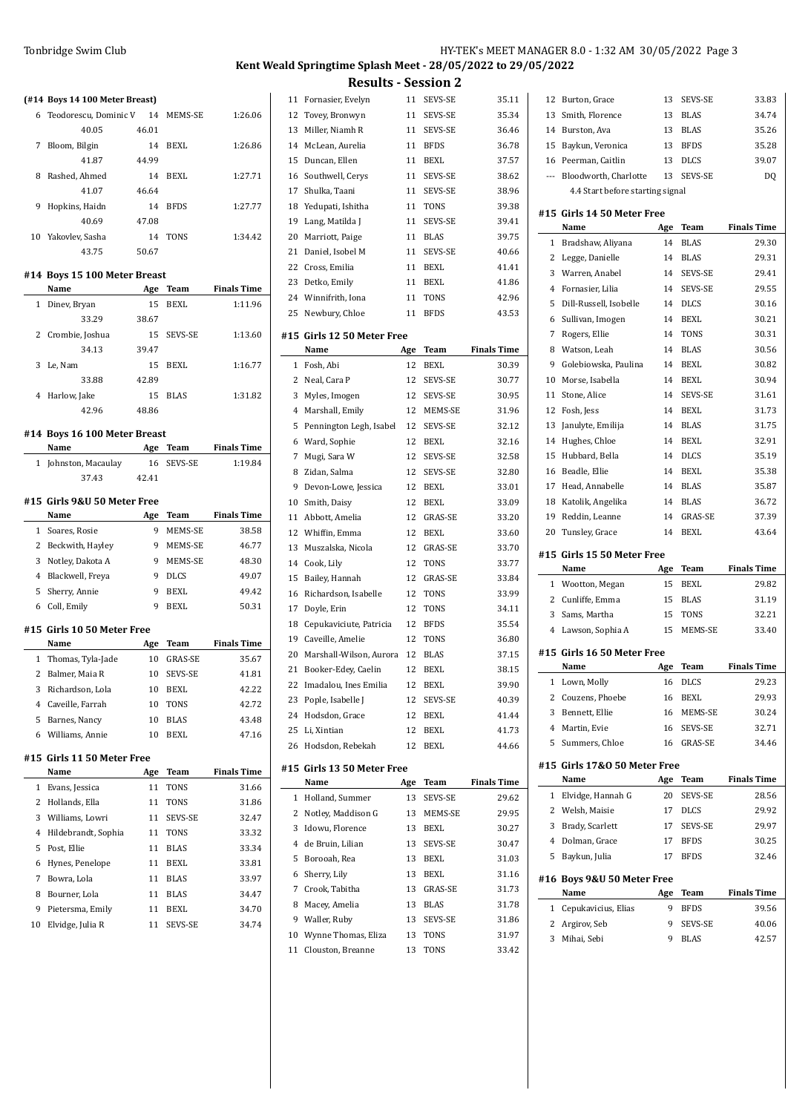#### **(#14 Boys 14 100 Meter Breast)**

|    | 6 Teodorescu. Dominic V |       | 14 MEMS-SE  | 1:26.06 |
|----|-------------------------|-------|-------------|---------|
|    | 40.05                   | 46.01 |             |         |
| 7  | Bloom, Bilgin           | 14    | BEXL        | 1:26.86 |
|    | 41.87                   | 44.99 |             |         |
| 8  | Rashed, Ahmed           | 14    | BEXL        | 1:27.71 |
|    | 41.07                   | 46.64 |             |         |
| 9  | Hopkins, Haidn          | 14    | <b>BFDS</b> | 1:27.77 |
|    | 40.69                   | 47.08 |             |         |
| 10 | Yakovlev, Sasha         | 14    | <b>TONS</b> | 1:34.42 |
|    | 43.75                   | 50.67 |             |         |

### **#14 Boys**

|   | Name              | Age   | Team           | <b>Finals Time</b> |
|---|-------------------|-------|----------------|--------------------|
| 1 | Diney, Bryan      | 15    | BEXL           | 1:11.96            |
|   | 33.29             | 38.67 |                |                    |
|   | 2 Crombie, Joshua | 15    | <b>SEVS-SE</b> | 1:13.60            |
|   | 34.13             | 39.47 |                |                    |
| 3 | Le, Nam           | 15    | BEXL           | 1:16.77            |
|   | 33.88             | 42.89 |                |                    |
| 4 | Harlow, Jake      | 15    | <b>BLAS</b>    | 1:31.82            |
|   | 12 O.C.           | AOOC  |                |                    |

## **#14 Boys**

|                | Name                         | Age   | Team           | <b>Finals Time</b> |
|----------------|------------------------------|-------|----------------|--------------------|
| 1              | Johnston, Macaulay           | 16    | <b>SEVS-SE</b> | 1:19.84            |
|                | 37.43                        | 42.41 |                |                    |
|                | #15  Girls 9&U 50 Meter Free |       |                |                    |
|                | Name                         |       | Team           | <b>Finals Time</b> |
|                |                              | Age   |                |                    |
| $\mathbf{1}$   | Soares, Rosie                | 9     | MEMS-SE        | 38.58              |
| 2              | Beckwith, Hayley             | 9     | MEMS-SE        | 46.77              |
| 3              | Notley, Dakota A             | 9     | MEMS-SE        | 48.30              |
| $\overline{4}$ | Blackwell, Freya             | 9     | <b>DLCS</b>    | 49.07              |
| 5              | Sherry, Annie                | 9     | BEXL           | 49.42              |
| 6              | Coll, Emily                  | 9     | <b>BEXL</b>    | 50.31              |
|                | #15 Girls 10 50 Meter Free   |       |                |                    |
|                | Name                         | Age   | Team           | <b>Finals Time</b> |
| 1              | Thomas, Tyla-Jade            | 10    | <b>GRAS-SE</b> | 35.67              |
| 2              | Balmer, Maia R               | 10    | <b>SEVS-SE</b> | 41.81              |
| 3              | Richardson, Lola             | 10    | <b>BEXL</b>    | 42.22              |
| 4              | Caveille, Farrah             | 10    | <b>TONS</b>    | 42.72              |
| 5              | Barnes, Nancy                | 10    | <b>BLAS</b>    | 43.48              |
| 6              | Williams, Annie              | 10    | <b>BEXL</b>    | 47.16              |
|                | #15 Girls 11 50 Meter Free   |       |                |                    |
|                | Name                         | Age   | Team           | <b>Finals Time</b> |
| 1              | Evans, Jessica               | 11    | <b>TONS</b>    | 31.66              |
| 2              | Hollands, Ella               | 11    | <b>TONS</b>    | 31.86              |
| 3              | Williams, Lowri              | 11    | <b>SEVS-SE</b> | 32.47              |
| 4              | Hildebrandt, Sophia          | 11    | <b>TONS</b>    | 33.32              |
| 5              | Post, Ellie                  | 11    | <b>BLAS</b>    | 33.34              |
| 6              | Hynes, Penelope              | 11    | BEXL           | 33.81              |
| 7              | Bowra, Lola                  | 11    | <b>BLAS</b>    | 33.97              |

| 41.87               | 44.99 |             |                    | 15 | Duncan, Ellen              | 11  | <b>BEXL</b> | 37.57              |
|---------------------|-------|-------------|--------------------|----|----------------------------|-----|-------------|--------------------|
| d, Ahmed            | 14    | BEXL        | 1:27.71            |    | 16 Southwell, Cerys        | 11  | SEVS-SE     | 38.62              |
| 41.07               | 46.64 |             |                    | 17 | Shulka, Taani              | 11  | SEVS-SE     | 38.96              |
| ns, Haidn           | 14    | <b>BFDS</b> | 1:27.77            | 18 | Yedupati, Ishitha          | 11  | <b>TONS</b> | 39.38              |
| 40.69               | 47.08 |             |                    | 19 | Lang, Matilda J            | 11  | SEVS-SE     | 39.41              |
| lev, Sasha          | 14    | <b>TONS</b> | 1:34.42            | 20 | Marriott, Paige            | 11  | <b>BLAS</b> | 39.75              |
| 43.75               | 50.67 |             |                    | 21 | Daniel, Isobel M           | 11  | SEVS-SE     | 40.66              |
| 15 100 Meter Breast |       |             |                    | 22 | Cross, Emilia              | 11  | <b>BEXL</b> | 41.41              |
|                     | Age   | Team        | <b>Finals Time</b> | 23 | Detko, Emily               | 11  | <b>BEXL</b> | 41.86              |
| Bryan               | 15    | <b>BEXL</b> | 1:11.96            |    | 24 Winnifrith, Iona        | 11  | <b>TONS</b> | 42.96              |
| 33.29               | 38.67 |             |                    |    | 25 Newbury, Chloe          | 11  | <b>BFDS</b> | 43.53              |
| pie, Joshua         | 15    | SEVS-SE     | 1:13.60            |    |                            |     |             |                    |
|                     |       |             |                    |    | #15 Girls 12 50 Meter Free |     |             |                    |
| 34.13               | 39.47 |             |                    |    | Name                       | Age | Team        | <b>Finals Time</b> |
| m                   | 15    | <b>BEXL</b> | 1:16.77            | 1  | Fosh, Abi                  | 12  | <b>BEXL</b> | 30.39              |
| 33.88               | 42.89 |             |                    |    | Neal, Cara P               | 12  | SEVS-SE     | 30.77              |
| w, Jake             | 15    | <b>BLAS</b> | 1:31.82            | 3  | Myles, Imogen              | 12  | SEVS-SE     | 30.95              |
| 42.96               | 48.86 |             |                    | 4  | Marshall, Emily            | 12  | MEMS-SE     | 31.96              |
| 16 100 Meter Breast |       |             |                    | 5  | Pennington Legh, Isabel    | 12  | SEVS-SE     | 32.12              |
|                     |       | $A = -$     | アシュートー アジー         | 6  | Ward, Sophie               | 12  | BEXL        | 32.16              |

|              | 14 Boys 16 100 Meter Breast |       |                |                    |    | 5 Pennington Legh, Isabel          | 12  | SEVS-SE        |
|--------------|-----------------------------|-------|----------------|--------------------|----|------------------------------------|-----|----------------|
|              | Name                        | Age   | <b>Team</b>    | <b>Finals Time</b> | 6  | Ward, Sophie                       | 12  | BEXL           |
|              | 1 Johnston, Macaulay        | 16    | <b>SEVS-SE</b> | 1:19.84            | 7  | Mugi, Sara W                       | 12  | SEVS-SE        |
|              | 37.43                       | 42.41 |                |                    | 8  | Zidan, Salma                       | 12  | <b>SEVS-SE</b> |
|              |                             |       |                |                    | 9  | Devon-Lowe, Jessica                | 12  | <b>BEXL</b>    |
|              | 15 Girls 9&U 50 Meter Free! |       |                |                    | 10 | Smith, Daisy                       | 12  | <b>BEXL</b>    |
|              | Name                        | Age   | <b>Team</b>    | <b>Finals Time</b> | 11 | Abbott, Amelia                     | 12  | <b>GRAS-SE</b> |
| $\mathbf{1}$ | Soares, Rosie               | 9     | MEMS-SE        | 38.58              | 12 | Whiffin, Emma                      | 12  | <b>BEXL</b>    |
| 2            | Beckwith, Hayley            | 9     | MEMS-SE        | 46.77              | 13 | Muszalska, Nicola                  | 12  | <b>GRAS-SE</b> |
| 3            | Notley, Dakota A            | 9     | MEMS-SE        | 48.30              | 14 | Cook, Lily                         | 12  | <b>TONS</b>    |
| 4            | Blackwell, Freya            | 9     | <b>DLCS</b>    | 49.07              | 15 | Bailey, Hannah                     | 12  | <b>GRAS-SE</b> |
| 5            | Sherry, Annie               | 9     | <b>BEXL</b>    | 49.42              | 16 | Richardson, Isabelle               | 12  | <b>TONS</b>    |
| 6            | Coll, Emily                 | 9     | <b>BEXL</b>    | 50.31              | 17 | Doyle, Erin                        | 12  | <b>TONS</b>    |
|              | 15 Girls 10 50 Meter Free   |       |                |                    | 18 | Cepukaviciute, Patricia            | 12  | <b>BFDS</b>    |
|              | Name                        | Age   | Team           | <b>Finals Time</b> | 19 | Caveille, Amelie                   | 12  | <b>TONS</b>    |
|              | 1 Thomas, Tyla-Jade         | 10    | <b>GRAS-SE</b> | 35.67              | 20 | Marshall-Wilson, Aurora 12         |     | <b>BLAS</b>    |
| 2            | Balmer, Maia R              | 10    | <b>SEVS-SE</b> | 41.81              | 21 | Booker-Edey, Caelin                | 12  | <b>BEXL</b>    |
| 3            | Richardson, Lola            | 10    | <b>BEXL</b>    | 42.22              | 22 | Imadalou, Ines Emilia              | 12  | <b>BEXL</b>    |
| 4            | Caveille, Farrah            | 10    | <b>TONS</b>    | 42.72              | 23 | Pople, Isabelle J                  | 12  | SEVS-SE        |
|              | 5 Barnes, Nancy             | 10    | <b>BLAS</b>    | 43.48              | 24 | Hodsdon, Grace                     | 12  | <b>BEXL</b>    |
| 6            | Williams, Annie             | 10    | BEXL           | 47.16              |    | 25 Li, Xintian                     | 12  | <b>BEXL</b>    |
|              |                             |       |                |                    |    | 26 Hodsdon, Rebekah                | 12  | <b>BEXL</b>    |
|              | 15 Girls 11 50 Meter Free   |       |                |                    |    |                                    |     |                |
|              | Name                        | Age   | Team           | <b>Finals Time</b> |    | #15 Girls 13 50 Meter Free<br>Name | Age | Team           |
|              | 1 Evans, Jessica            | 11    | <b>TONS</b>    | 31.66              |    | 1 Holland, Summer                  | 13  | <b>SEVS-SE</b> |
|              | 2 Hollands, Ella            | 11    | <b>TONS</b>    | 31.86              | 2  | Notley, Maddison G                 | 13  | MEMS-SE        |
| 3            | Williams, Lowri             | 11    | SEVS-SE        | 32.47              | 3  | Idowu, Florence                    | 13  | <b>BEXL</b>    |
|              | 4 Hildebrandt, Sophia       | 11    | <b>TONS</b>    | 33.32              | 4  | de Bruin, Lilian                   | 13  | <b>SEVS-SE</b> |
|              | 5 Post, Ellie               | 11    | <b>BLAS</b>    | 33.34              | 5  | Borooah, Rea                       | 13  | <b>BEXL</b>    |
|              | 6 Hynes, Penelope           | 11    | <b>BEXL</b>    | 33.81              |    |                                    | 13  | <b>BEXL</b>    |
| 7            | Bowra, Lola                 | 11    | <b>BLAS</b>    | 33.97              | 6  | Sherry, Lily                       |     |                |
| 8            | Bourner, Lola               | 11    | <b>BLAS</b>    | 34.47              | 7  | Crook, Tabitha                     | 13  | <b>GRAS-SE</b> |
|              | 9 Pietersma, Emily          | 11    | <b>BEXL</b>    | 34.70              | 8  | Macey, Amelia                      | 13  | <b>BLAS</b>    |
|              | 10 Elvidge, Julia R         | 11    | SEVS-SE        | 34.74              | 9  | Waller, Ruby                       | 13  | SEVS-SE        |

## Tonbridge Swim Club HY-TEK's MEET MANAGER 8.0 - 1:32 AM 30/05/2022 Page 3 **Kent Weald Springtime Splash Meet - 28/05/2022 to 29/05/2022 Results - Session 2**

**Finals Time** 29.62

10 Wynne Thomas, Eliza 13 TONS 31.97 Clouston, Breanne 13 TONS 33.42

11 Fornasier, Evelyn 11 SEVS-SE 35.11 12 Tovey, Bronwyn 11 SEVS-SE 35.34 13 Miller, Niamh R 11 SEVS-SE 36.46 McLean, Aurelia 11 BFDS 36.78

|    | 12 Burton, Grace                     | 13       | SEVS-SE                    | 33.83                                                                                                                                                                                                              |
|----|--------------------------------------|----------|----------------------------|--------------------------------------------------------------------------------------------------------------------------------------------------------------------------------------------------------------------|
| 13 | Smith, Florence                      | 13       | <b>BLAS</b>                | 34.74                                                                                                                                                                                                              |
|    | 14 Burston, Ava                      | 13       | <b>BLAS</b>                | 35.26                                                                                                                                                                                                              |
|    | 15 Baykun, Veronica                  | 13       | <b>BFDS</b>                | 35.28                                                                                                                                                                                                              |
|    | 16 Peerman, Caitlin                  | 13 DLCS  |                            | 39.07                                                                                                                                                                                                              |
|    | --- Bloodworth, Charlotte 13 SEVS-SE |          |                            | D <sub>O</sub>                                                                                                                                                                                                     |
|    | 4.4 Start before starting signal     |          |                            |                                                                                                                                                                                                                    |
|    | #15 Girls 14 50 Meter Free<br>Name   | Age      | Team                       | <b>Finals Time</b>                                                                                                                                                                                                 |
|    | 1 Bradshaw, Aliyana                  | 14       | <b>BLAS</b>                | 29.30                                                                                                                                                                                                              |
|    | 2 Legge, Danielle                    | 14       | <b>BLAS</b>                | 29.31                                                                                                                                                                                                              |
|    | 3 Warren, Anabel 14                  |          | SEVS-SE                    | 29.41                                                                                                                                                                                                              |
|    | 4 Fornasier, Lilia                   | 14       | SEVS-SE                    | 29.55                                                                                                                                                                                                              |
|    | 5 Dill-Russell, Isobelle 14          |          | <b>DLCS</b>                | 30.16                                                                                                                                                                                                              |
|    | 6 Sullivan, Imogen                   | 14       | BEXL                       | 30.21                                                                                                                                                                                                              |
|    | 7 Rogers, Ellie                      | 14       | TONS                       | 30.31                                                                                                                                                                                                              |
| 8  | Watson, Leah                         | 14       | <b>BLAS</b>                | 30.56                                                                                                                                                                                                              |
| 9  | Golebiowska, Paulina                 | 14       | <b>BEXL</b>                | 30.82                                                                                                                                                                                                              |
|    | 10 Morse, Isabella                   | 14       | <b>BEXL</b>                | 30.94                                                                                                                                                                                                              |
| 11 | Stone, Alice                         | 14       | SEVS-SE                    | 31.61                                                                                                                                                                                                              |
|    | 12 Fosh, Jess                        | 14       | BEXL                       | 31.73                                                                                                                                                                                                              |
| 13 | Janulyte, Emilija                    | 14       | <b>BLAS</b>                | 31.75                                                                                                                                                                                                              |
| 14 | Hughes, Chloe                        | 14       | BEXL                       | 32.91                                                                                                                                                                                                              |
| 15 | Hubbard, Bella                       | 14       | <b>DLCS</b>                | 35.19                                                                                                                                                                                                              |
|    | 16 Beadle, Ellie                     | 14       | BEXL                       | 35.38                                                                                                                                                                                                              |
|    | 17 Head, Annabelle                   | 14       | <b>BLAS</b>                | 35.87                                                                                                                                                                                                              |
|    | 18 Katolik, Angelika 14 BLAS         |          |                            | 36.72                                                                                                                                                                                                              |
|    | 19 Reddin, Leanne                    | 14       | GRAS-SE                    | 37.39                                                                                                                                                                                                              |
|    | 20 Tunsley, Grace                    | 14       | BEXL                       | 43.64                                                                                                                                                                                                              |
|    |                                      |          |                            |                                                                                                                                                                                                                    |
|    | #15 Girls 15 50 Meter Free           |          |                            |                                                                                                                                                                                                                    |
|    | Name                                 | Age      | Team                       |                                                                                                                                                                                                                    |
|    | 1 Wootton, Megan                     | 15       | BEXL                       |                                                                                                                                                                                                                    |
|    | 2 Cunliffe, Emma                     | 15       | <b>BLAS</b>                |                                                                                                                                                                                                                    |
|    | 3 Sams, Martha                       | 15       | TONS                       |                                                                                                                                                                                                                    |
|    | 4 Lawson, Sophia A 15                |          | MEMS-SE                    |                                                                                                                                                                                                                    |
|    | #15 Girls 16 50 Meter Free<br>Name   | Age      | Team                       |                                                                                                                                                                                                                    |
| 1  | Lown, Molly                          |          | 16 DLCS                    |                                                                                                                                                                                                                    |
| 2  | Couzens, Phoebe                      | 16       | BEXL                       |                                                                                                                                                                                                                    |
| 3  | Bennett, Ellie                       | 16       | MEMS-SE                    |                                                                                                                                                                                                                    |
|    | 4 Martin, Evie                       | 16       | SEVS-SE                    |                                                                                                                                                                                                                    |
| 5  | Summers, Chloe                       | 16       | GRAS-SE                    |                                                                                                                                                                                                                    |
|    | #15 Girls 17&0 50 Meter Free         |          |                            |                                                                                                                                                                                                                    |
|    | Name                                 | Age      | <b>Team</b>                |                                                                                                                                                                                                                    |
| 1  | Elvidge, Hannah G                    | 20       | SEVS-SE                    |                                                                                                                                                                                                                    |
|    | 2 Welsh, Maisie                      | 17       | <b>DLCS</b>                |                                                                                                                                                                                                                    |
| 3  | Brady, Scarlett                      | 17       | SEVS-SE                    |                                                                                                                                                                                                                    |
| 5  | 4 Dolman, Grace<br>Baykun, Julia     | 17<br>17 | <b>BFDS</b><br><b>BFDS</b> |                                                                                                                                                                                                                    |
|    | #16 Boys 9&U 50 Meter Free           |          |                            |                                                                                                                                                                                                                    |
|    | Name                                 | Age      | Team                       | <b>Finals Time</b><br>29.82<br>31.19<br>32.21<br>33.40<br><b>Finals Time</b><br>29.23<br>29.93<br>30.24<br>32.71<br>34.46<br><b>Finals Time</b><br>28.56<br>29.92<br>29.97<br>30.25<br>32.46<br><b>Finals Time</b> |
| 1  | Cepukavicius, Elias                  | 9        | <b>BFDS</b>                | 39.56                                                                                                                                                                                                              |
| 2  | Argirov, Seb                         | 9        | SEVS-SE                    | 40.06                                                                                                                                                                                                              |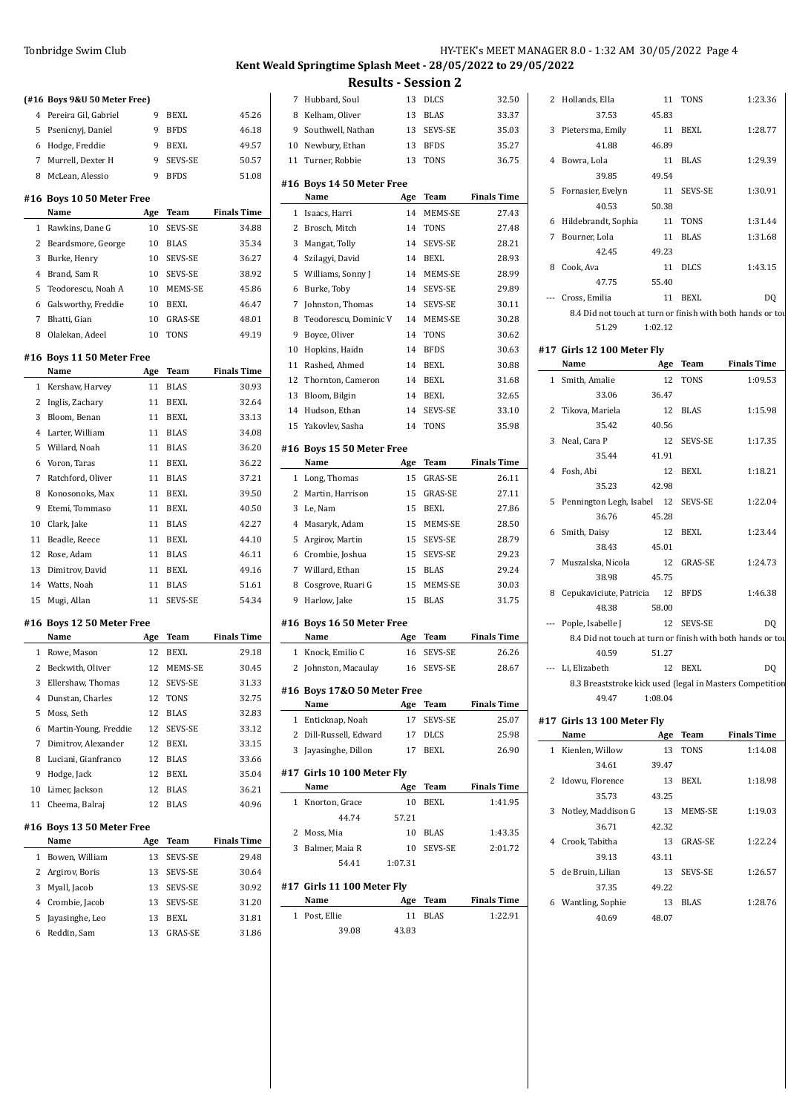|                | (#16 Boys 9&U 50 Meter Free) |                 |                |                    |
|----------------|------------------------------|-----------------|----------------|--------------------|
|                | 4 Pereira Gil, Gabriel       | 9               | <b>BEXL</b>    | 45.26              |
| 5              | Psenicnyj, Daniel            | 9               | <b>BFDS</b>    | 46.18              |
| 6              | Hodge, Freddie               | 9               | <b>BEXL</b>    | 49.57              |
| 7              | Murrell, Dexter H            | 9               | SEVS-SE        | 50.57              |
| 8              | McLean, Alessio              | 9               | <b>BFDS</b>    | 51.08              |
|                | #16 Boys 10 50 Meter Free    |                 |                |                    |
|                | Name                         | Age             | Team           | <b>Finals Time</b> |
| $\mathbf{1}$   | Rawkins, Dane G              | 10              | SEVS-SE        | 34.88              |
| $\overline{2}$ | Beardsmore, George           |                 | 10 BLAS        | 35.34              |
| 3              | Burke, Henry                 | 10              | SEVS-SE        | 36.27              |
| $\overline{4}$ | Brand, Sam R                 | 10 <sup>1</sup> | <b>SEVS-SE</b> | 38.92              |
| 5              | Teodorescu, Noah A           |                 | 10 MEMS-SE     | 45.86              |
| 6              | Galsworthy, Freddie          | 10              | BEXL           | 46.47              |
| 7              | Bhatti, Gian                 | 10              | <b>GRAS-SE</b> | 48.01              |
| 8              | Olalekan, Adeel              | 10              | <b>TONS</b>    | 49.19              |
|                | #16 Boys 11 50 Meter Free    |                 |                |                    |
|                | Name                         | Age             | Team           | <b>Finals Time</b> |
| 1              | Kershaw, Harvey              | 11              | <b>BLAS</b>    | 30.93              |
| 2              | Inglis, Zachary              | 11              | <b>BEXL</b>    | 32.64              |
| 3              | Bloom, Benan                 | 11              | <b>BEXL</b>    | 33.13              |
| $\overline{4}$ | Larter, William              | 11              | <b>BLAS</b>    | 34.08              |
| 5              | Willard, Noah                | 11              | <b>BLAS</b>    | 36.20              |
| 6              | Voron, Taras                 | 11              | <b>BEXL</b>    | 36.22              |
| 7              | Ratchford, Oliver            | 11              | <b>BLAS</b>    | 37.21              |
| 8              | Konosonoks, Max              | 11              | <b>BEXL</b>    | 39.50              |
| 9              | Etemi, Tommaso               | 11              | <b>BEXL</b>    | 40.50              |
| 10             | Clark, Jake                  | 11              | <b>BLAS</b>    | 42.27              |
| 11             | Beadle, Reece                |                 | 11 BEXL        | 44.10              |
| 12             | Rose, Adam                   | 11              | <b>BLAS</b>    | 46.11              |
| 13             | Dimitrov, David              | 11              | <b>BEXL</b>    | 49.16              |
| 14             | Watts, Noah                  | 11              | <b>BLAS</b>    | 51.61              |
| 15             | Mugi, Allan                  | 11              | SEVS-SE        | 54.34              |
|                | #16 Boys 12 50 Meter Free    |                 |                |                    |
|                | Name                         | Age             | Team           | <b>Finals Time</b> |
| 1              | Rowe, Mason                  | 12              | <b>BEXL</b>    | 29.18              |
| 2              | Beckwith, Oliver             |                 | 12 MEMS-SE     | 30.45              |
| 3              | Ellershaw, Thomas            | 12              | SEVS-SE        | 31.33              |
| $\overline{4}$ | Dunstan, Charles             | 12              | <b>TONS</b>    | 32.75              |
| 5              | Moss, Seth                   |                 | 12 BLAS        | 32.83              |
| 6              | Martin-Young, Freddie        | 12              | SEVS-SE        | 33.12              |
| 7              | Dimitrov, Alexander          | 12              | <b>BEXL</b>    | 33.15              |
| 8              | Luciani, Gianfranco          | 12              | <b>BLAS</b>    | 33.66              |

 Hodge, Jack 12 BEXL 35.04 Limer, Jackson 12 BLAS 36.21 11 Cheema, Balraj 12 BLAS 40.96

**Name Age Team Finals Time** Bowen, William 13 SEVS-SE 29.48 2 Argirov, Boris 13 SEVS-SE 30.64 Myall, Jacob 13 SEVS-SE 30.92 Crombie, Jacob 13 SEVS-SE 31.20 5 Jayasinghe, Leo 13 BEXL 31.81 Reddin, Sam 13 GRAS-SE 31.86

**#16 Boys 13 50 Meter Free**

## **Kent Weald Springtime Splash Meet - 28/05/2022 to 29/05/2022 Results - Session 2**

| 7              | Hubbard, Soul                     | 13      | <b>DLCS</b>    | 32.50              |
|----------------|-----------------------------------|---------|----------------|--------------------|
| 8              | Kelham, Oliver                    | 13      | <b>BLAS</b>    | 33.37              |
| 9              | Southwell, Nathan                 | 13      | SEVS-SE        | 35.03              |
| 10             | Newbury, Ethan                    | 13      | <b>BFDS</b>    | 35.27              |
| 11             | Turner, Robbie                    | 13      | <b>TONS</b>    | 36.75              |
|                |                                   |         |                |                    |
|                | #16 Boys 14 50 Meter Free<br>Name | Age     | Team           | <b>Finals Time</b> |
| $\mathbf{1}$   | Isaacs, Harri                     | 14      | MEMS-SE        | 27.43              |
| 2              | Brosch, Mitch                     | 14      | TONS           | 27.48              |
| 3              | Mangat, Tolly                     | 14      | <b>SEVS-SE</b> | 28.21              |
| $\overline{4}$ | Szilagyi, David                   | 14      | BEXL           | 28.93              |
| 5              | Williams, Sonny J                 | 14      | <b>MEMS-SE</b> | 28.99              |
| 6              | Burke, Toby                       | 14      | SEVS-SE        | 29.89              |
| 7              | Johnston, Thomas                  | 14      | <b>SEVS-SE</b> | 30.11              |
| 8              | Teodorescu, Dominic V             | 14      | MEMS-SE        | 30.28              |
| 9              | Boyce, Oliver                     | 14      | TONS           | 30.62              |
| 10             | Hopkins, Haidn                    | 14      | <b>BFDS</b>    | 30.63              |
| 11             | Rashed, Ahmed                     | 14      | <b>BEXL</b>    | 30.88              |
| 12             | Thornton, Cameron                 | 14      | BEXL           | 31.68              |
| 13             | Bloom, Bilgin                     | 14      | <b>BEXL</b>    | 32.65              |
| 14             | Hudson, Ethan                     | 14      | SEVS-SE        | 33.10              |
| 15             | Yakovlev, Sasha                   | 14      | <b>TONS</b>    | 35.98              |
|                |                                   |         |                |                    |
|                | #16 Boys 15 50 Meter Free         |         |                |                    |
|                | Name                              | Age     | Team           | <b>Finals Time</b> |
| 1              | Long, Thomas                      | 15      | <b>GRAS-SE</b> | 26.11              |
| 2              | Martin, Harrison                  | 15      | <b>GRAS-SE</b> | 27.11              |
| 3              | Le, Nam                           | 15      | <b>BEXL</b>    | 27.86              |
| 4              | Masaryk, Adam                     | 15      | MEMS-SE        | 28.50              |
| 5              | Argirov, Martin                   | 15      | SEVS-SE        | 28.79              |
| 6              | Crombie, Joshua                   | 15      | SEVS-SE        | 29.23              |
| 7              | Willard, Ethan                    | 15      | <b>BLAS</b>    | 29.24              |
| 8              | Cosgrove, Ruari G                 | 15      | MEMS-SE        | 30.03              |
| 9              | Harlow, Jake                      | 15      | <b>BLAS</b>    | 31.75              |
|                | #16 Boys 16 50 Meter Free         |         |                |                    |
|                | Name                              | Age     | <b>Team</b>    | <b>Finals Time</b> |
| 1              | Knock, Emilio C                   | 16      | SEVS-SE        | 26.26              |
| $\overline{2}$ | Johnston, Macaulay                | 16      | <b>SEVS-SE</b> | 28.67              |
|                |                                   |         |                |                    |
|                | #16 Boys 17&0 50 Meter Free       |         |                |                    |
|                | Name                              | Age     | Team           | <b>Finals Time</b> |
| 1              | Enticknap, Noah                   | 17      | SEVS-SE        | 25.07              |
|                | 2 Dill-Russell, Edward            | 17      | DLCS           | 25.98              |
| 3              | Jayasinghe, Dillon                | 17      | <b>BEXL</b>    | 26.90              |
|                | #17 Girls 10 100 Meter Fly        |         |                |                    |
|                | Name                              | Age     | Team           | <b>Finals Time</b> |
| 1              | Knorton, Grace                    | 10      | BEXL           | 1:41.95            |
|                | 44.74                             | 57.21   |                |                    |
| 2              | Moss, Mia                         | 10      | <b>BLAS</b>    | 1:43.35            |
| 3              | Balmer, Maia R                    | 10      | SEVS-SE        | 2:01.72            |
|                | 54.41                             | 1:07.31 |                |                    |
|                |                                   |         |                |                    |
|                | #17 Girls 11 100 Meter Fly        |         |                |                    |

|  | Name          |       | Age Team | <b>Finals Time</b> |
|--|---------------|-------|----------|--------------------|
|  | 1 Post. Ellie |       | 11 BLAS  | 1:22.91            |
|  | 39.08         | 43.83 |          |                    |

|   | 2 Hollands, Ella<br>37.53                                  | 45.83            | 11 TONS     | 1:23.36            |
|---|------------------------------------------------------------|------------------|-------------|--------------------|
|   |                                                            |                  |             | 1:28.77            |
|   | 3 Pietersma, Emily<br>41.88                                | 11 BEXL<br>46.89 |             |                    |
|   | 4 Bowra, Lola                                              |                  | 11 BLAS     | 1:29.39            |
|   | 39.85                                                      | 49.54            |             |                    |
|   | 5 Fornasier, Evelyn                                        |                  | 11 SEVS-SE  | 1:30.91            |
|   | 40.53                                                      | 50.38            |             |                    |
|   | 6 Hildebrandt, Sophia 11 TONS                              |                  |             | 1:31.44            |
| 7 | Bourner, Lola                                              |                  | 11 BLAS     | 1:31.68            |
|   | 42.45                                                      | 49.23            |             |                    |
| 8 | Cook, Ava                                                  |                  | 11 DLCS     | 1:43.15            |
|   | 47.75                                                      | 55.40            |             |                    |
|   | --- Cross, Emilia                                          |                  | 11 BEXL     | DQ                 |
|   | 8.4 Did not touch at turn or finish with both hands or tou |                  |             |                    |
|   | 51.29                                                      | 1:02.12          |             |                    |
|   |                                                            |                  |             |                    |
|   | #17 Girls 12 100 Meter Fly<br>Name                         |                  | Age Team    | <b>Finals Time</b> |
|   | 1 Smith, Amalie                                            | <sup>12</sup>    | TONS        | 1:09.53            |
|   | 33.06                                                      | 36.47            |             |                    |
| 2 | Tikova, Mariela                                            |                  | 12 BLAS     | 1:15.98            |
|   | 35.42                                                      | 40.56            |             |                    |
|   | 3 Neal, Cara P                                             |                  | 12 SEVS-SE  | 1:17.35            |
|   | 35.44                                                      | 41.91            |             |                    |
| 4 | Fosh, Abi                                                  |                  | 12 BEXL     | 1:18.21            |
|   | 35.23                                                      | 42.98            |             |                    |
|   | 5 Pennington Legh, Isabel 12 SEVS-SE                       |                  |             | 1:22.04            |
|   | 36.76                                                      | 45.28            |             |                    |
|   | 6 Smith, Daisy                                             |                  | 12 BEXL     | 1:23.44            |
|   | 38.43                                                      | 45.01            |             |                    |
| 7 | Muszalska, Nicola                                          |                  | 12 GRAS-SE  | 1:24.73            |
|   | 38.98                                                      | 45.75            |             |                    |
| 8 | Cepukaviciute, Patricia 12 BFDS                            |                  |             | 1:46.38            |
|   | 48.38                                                      | 58.00            |             |                    |
|   | Pople, Isabelle J                                          |                  | 12 SEVS-SE  | DQ                 |
|   | 8.4 Did not touch at turn or finish with both hands or tou |                  |             |                    |
|   | 40.59                                                      | 51.27            |             |                    |
|   | --- Li, Elizabeth                                          |                  | 12 BEXL     | DQ                 |
|   | 8.3 Breaststroke kick used (legal in Masters Competition   |                  |             |                    |
|   | 49.47                                                      | 1:08.04          |             |                    |
|   | #17 Girls 13 100 Meter Fly                                 |                  |             |                    |
|   | Name                                                       |                  | Age Team    | <b>Finals Time</b> |
|   | 1 Kienlen, Willow                                          | 13               | <b>TONS</b> | 1:14.08            |
|   | 34.61                                                      | 39.47            |             |                    |
|   | 2 Idowu, Florence                                          | 13               | BEXL        | 1:18.98            |
|   | 35.73                                                      | 43.25            |             |                    |
|   | Notley, Maddison G                                         |                  |             |                    |
| 3 | 36.71                                                      | 42.32            | 13 MEMS-SE  | 1:19.03            |
| 4 | Crook, Tabitha                                             |                  |             | 1:22.24            |
|   | 39.13                                                      | 43.11            | 13 GRAS-SE  |                    |
| 5 | de Bruin, Lilian                                           | 13               | SEVS-SE     | 1:26.57            |
|   | 37.35                                                      | 49.22            |             |                    |
|   |                                                            |                  |             |                    |

Wantling, Sophie 13 BLAS 1:28.76

40.69 48.07